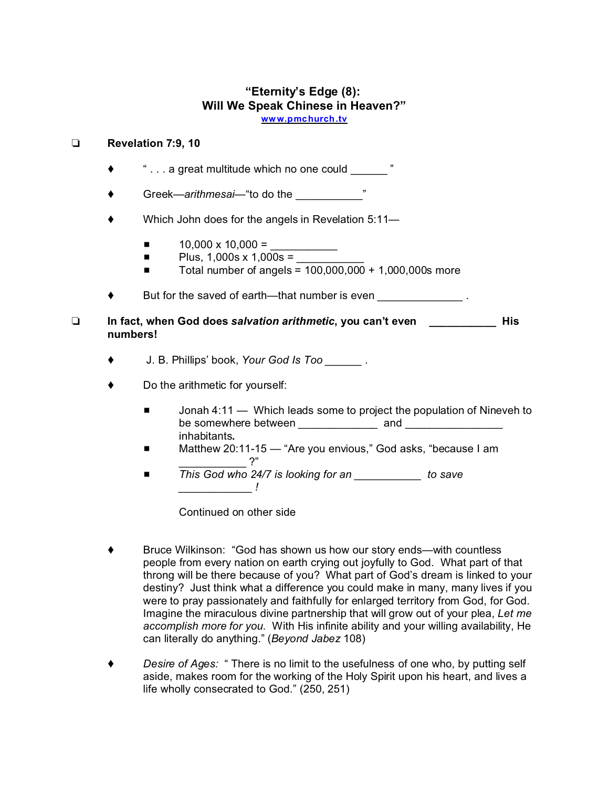## **"Eternity's Edge (8): Will We Speak Chinese in Heaven?" ww [w.pmchurch.tv](http://www.pmchurch.tv)**

## **Revelation 7:9, 10**

- $\bullet$   $\bullet$   $\ldots$  a great multitude which no one could  $\ldots$
- ◆ Greek—*arithmesai*—"to do the \_\_\_\_\_\_\_\_\_\_\_\_\_ "
- ◆ Which John does for the angels in Revelation 5:11—
	- $\blacksquare$  10,000 x 10,000 =
	- $\blacksquare$  Plus, 1,000s x 1,000s =
	- $\blacksquare$  Total number of angels = 100,000,000 + 1,000,000s more
- $\bullet$  But for the saved of earth—that number is even  $\bullet$ .
- **In fact, when God does** *salvation arithmetic***, you can't even \_\_\_\_\_\_\_\_\_\_\_ His numbers!**
	- J. B. Phillips' book, *Your God Is Too \_\_\_\_\_\_ .*
	- ◆ Do the arithmetic for yourself:
		- Jonah 4:11 Which leads some to project the population of Nineveh to be somewhere between example and  $\Box$  and  $\Box$ inhabitants**.**
		- Matthew 20:11-15 "Are you envious," God asks, "because I am \_\_\_\_\_\_\_\_\_\_\_ ?"
		- *This God who 24/7 is looking for an* to save *\_\_\_\_\_\_\_\_\_\_\_\_ !*

Continued on other side

- Bruce Wilkinson: "God has shown us how our story ends—with countless people from every nation on earth crying out joyfully to God. What part of that throng will be there because of you? What part of God's dream is linked to your destiny? Just think what a difference you could make in many, many lives if you were to pray passionately and faithfully for enlarged territory from God, for God. Imagine the miraculous divine partnership that will grow out of your plea, *Let me accomplish more for you*. With His infinite ability and your willing availability, He can literally do anything." (*Beyond Jabez* 108)
- *Desire of Ages:* " There is no limit to the usefulness of one who, by putting self aside, makes room for the working of the Holy Spirit upon his heart, and lives a life wholly consecrated to God." (250, 251)